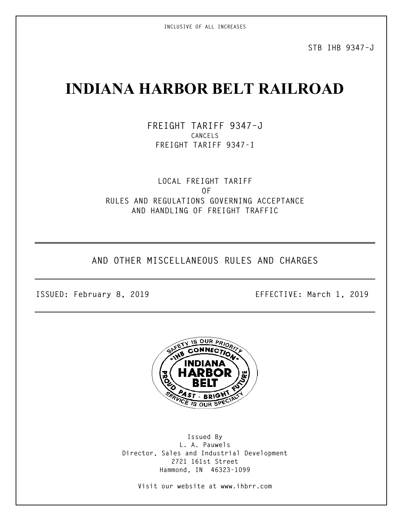**INCLUSIVE OF ALL INCREASES**

**STB IHB 9347–J**

# **INDIANA HARBOR BELT RAILROAD**

**FREIGHT TARIFF 9347–J CANCELS FREIGHT TARIFF 9347-I**

**LOCAL FREIGHT TARIFF OF RULES AND REGULATIONS GOVERNING ACCEPTANCE AND HANDLING OF FREIGHT TRAFFIC**

**AND OTHER MISCELLANEOUS RULES AND CHARGES**

**ISSUED: February 8, 2019 EFFECTIVE: March 1, 2019**



**Issued By L. A. Pauwels Director, Sales and Industrial Development 2721 161st Street Hammond, IN 46323-1099**

**Visit our website at www.ihbrr.com**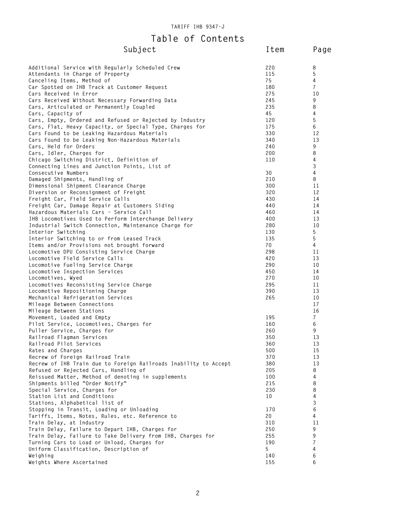## **Table of Contents Subject DI CONCENCE**<br>Cubject **Item** Page

| Subject                                                                     | ltem       | Pag            |
|-----------------------------------------------------------------------------|------------|----------------|
| Additional Service with Regularly Scheduled Crew                            | 220        | 8              |
| Attendants in Charge of Property                                            | 115        | 5              |
| Canceling Items, Method of                                                  | 75         | 4              |
| Car Spotted on IHB Track at Customer Request                                | 180        | $\overline{7}$ |
| Cars Received in Error                                                      | 275        | 10             |
| Cars Received Without Necessary Forwarding Data                             | 245<br>235 | 9<br>8         |
| Cars, Articulated or Permanently Coupled<br>Cars, Capacity of               | 45         | 4              |
| Cars, Empty, Ordered and Refused or Rejected by Industry                    | 120        | 5              |
| Cars, Flat, Heavy Capacity, or Special Type, Charges for                    | 175        | 6              |
| Cars Found to be Leaking Hazardous Materials                                | 330        | 12             |
| Cars Found to be Leaking Non-Hazardous Materials                            | 340        | 13             |
| Cars, Held for Orders                                                       | 240        | 9              |
| Cars, Idler, Charges for                                                    | 200        | 8              |
| Chicago Switching District, Definition of                                   | 110        | 4              |
| Connecting Lines and Junction Points, List of                               |            | 3              |
| Consecutive Numbers                                                         | 30         | 4              |
| Damaged Shipments, Handling of                                              | 210        | 8              |
| Dimensional Shipment Clearance Charge                                       | 300        | 11             |
| Diversion or Reconsignment of Freight                                       | 320        | 12             |
| Freight Car, Field Service Calls                                            | 430        | 14             |
| Freight Car, Damage Repair at Customers Siding                              | 440        | 14             |
| Hazardous Materials Cars - Service Call                                     | 460        | 14             |
| IHB Locomotives Used to Perform Interchange Delivery                        | 400        | 13             |
| Industrial Switch Connection, Maintenance Charge for                        | 280        | 10             |
| Interior Switching                                                          | 130        | 5              |
| Interior Switching to or from Leased Track                                  | 135        | 5              |
| Items and/or Provisions not brought forward                                 | 70         | 4              |
| Locomotive DPU Consisting Service Charge                                    | 298        | 11             |
| Locomotive Field Service Calls<br>Locomotive Fueling Service Charge         | 420<br>290 | 13<br>10       |
| Locomotive Inspection Services                                              | 450        | 14             |
| Locomotives, Wyed                                                           | 270        | 10             |
| Locomotives Reconsisting Service Charge                                     | 295        | 11             |
| Locomotive Repositioning Charge                                             | 390        | 13             |
| Mechanical Refrigeration Services                                           | 265        | 10             |
| Mileage Between Connections                                                 |            | 17             |
| Mileage Between Stations                                                    |            | 16             |
| Movement, Loaded and Empty                                                  | 195        | $\overline{7}$ |
| Pilot Service, Locomotives, Charges for                                     | 160        | 6              |
| Puller Service, Charges for                                                 | 260        | 9              |
| Railroad Flagman Services                                                   | 350        | 13             |
| Railroad Pilot Services                                                     | 360        | 13             |
| Rates and Charges                                                           | 500        | 15             |
| Recrew of Foreign Railroad Train                                            | 370        | 13             |
| Recrew of IHB Train due to Foreign Railroads Inability to Accept            | 380        | 13             |
| Refused or Rejected Cars, Handling of                                       | 205        | 8              |
| Reissued Matter, Method of denoting in supplements                          | 100        | 4              |
| Shipments billed "Order Notify"                                             | 215        | 8              |
| Special Service, Charges for                                                | 230        | 8              |
| Station List and Conditions                                                 | 10         | 4              |
| Stations, Alphabetical list of<br>Stopping in Transit, Loading or Unloading | 170        | 3<br>6         |
| Tariffs, Items, Notes, Rules, etc. Reference to                             | 20         | 4              |
| Train Delay, at Industry                                                    | 310        | 11             |
| Train Delay, Failure to Depart IHB, Charges for                             | 250        | 9              |
| Train Delay, Failure to Take Delivery from IHB, Charges for                 | 255        | 9              |
| Turning Cars to Load or Unload, Charges for                                 | 190        | $\overline{7}$ |
| Uniform Classification, Description of                                      | 5          | 4              |
| Weighing                                                                    | 140        | 6              |
| Weights Where Ascertained                                                   | 155        | 6              |
|                                                                             |            |                |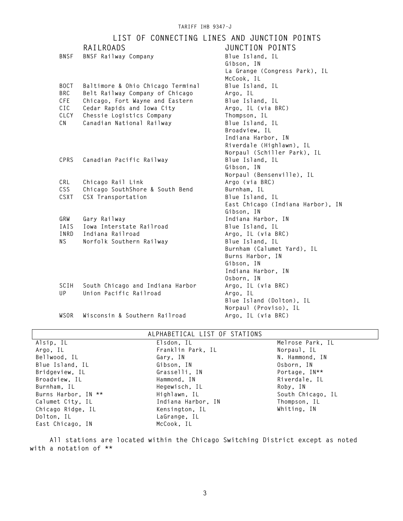#### **TARIFF IHB 9347-J LIST OF CONNECTING LINES AND JUNCTION POINTS RAILROADS JUNCTION POINTS BNSF** BNSF Railway Company **Blue Island, IL Gibson, IN La Grange (Congress Park), IL McCook, IL BOCT Baltimore & Ohio Chicago Terminal Blue Island, IL BRC Belt Railway Company of Chicago Argo, IL CFE Chicago, Fort Wayne and Eastern Blue Island, IL CIC Cedar Rapids and Iowa City Argo, IL (via BRC) CLCY Chessie Logistics Company Thompson, IL CN Canadian National Railway Blue Island, IL Broadview, IL Indiana Harbor, IN Riverdale (Highlawn), IL Norpaul (Schiller Park), IL CPRS Canadian Pacific Railway Gibson, IN Norpaul (Bensenville), IL CRL Chicago Rail Link Argo (via BRC) CSS Chicago SouthShore & South Bend Burnham, IL**<br> **CSXT** CSX Transportation **Blue Island, IL**  $CSX$  Transportation **East Chicago (Indiana Harbor), IN Gibson, IN GRW Gary Railway Indiana Harbor, IN IAIS** Iowa Interstate Railroad<br>**INRD** Indiana Railroad **INRD Indiana Railroad Argo, IL (via BRC) NS Norfolk Southern Railway Blue Island, IL Burnham (Calumet Yard), IL Burns Harbor, IN Gibson, IN Indiana Harbor, IN Osborn, IN SCIH South Chicago and Indiana Harbor Argo, IL (via BRC)**

**WSOR Wisconsin & Southern Railroad Argo, IL (via BRC)**

UP Union Pacific Railroad **Argo**, IL

#### **ALPHABETICAL LIST OF STATIONS**

**Blue Island (Dolton), IL Norpaul (Proviso), IL**

| Alsip, IL           | Elsdon, IL         | Melrose Park, IL  |
|---------------------|--------------------|-------------------|
| Argo, IL            | Franklin Park, IL  | Norpaul, IL       |
| Bellwood, IL        | Gary, IN           | N. Hammond, IN    |
| Blue Island, IL     | Gibson, IN         | Osborn, IN        |
| Bridgeview, IL      | Grasselli, IN      | Portage, IN**     |
| Broadview. IL       | Hammond, IN        | Riverdale, IL     |
| Burnham, IL         | Hegewisch, IL      | Roby, IN          |
| Burns Harbor, IN ** | Highlawn, IL       | South Chicago, IL |
| Calumet City, IL    | Indiana Harbor, IN | Thompson, IL      |
| Chicago Ridge, IL   | Kensington, IL     | Whiting, IN       |
| Dolton, IL          | LaGrange, IL       |                   |
| East Chicago, IN    | McCook, IL         |                   |
|                     |                    |                   |

 **All stations are located within the Chicago Switching District except as noted with a notation of \*\***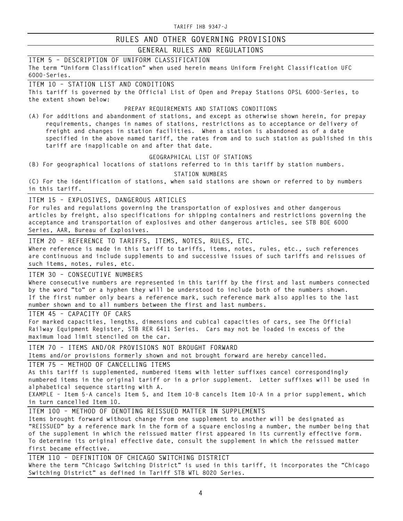## **GENERAL RULES AND REGULATIONS**

| ITEM 5 - DESCRIPTION OF UNIFORM CLASSIFICATION                                                                                                             |
|------------------------------------------------------------------------------------------------------------------------------------------------------------|
| The term "Uniform Classification" when used herein means Uniform Freight Classification UFC                                                                |
| $6000 - Series.$                                                                                                                                           |
| ITEM 10 - STATION LIST AND CONDITIONS                                                                                                                      |
| This tariff is governed by the Official List of Open and Prepay Stations OPSL 6000-Series, to                                                              |
| the extent shown below:                                                                                                                                    |
| PREPAY REQUIREMENTS AND STATIONS CONDITIONS                                                                                                                |
| (A) For additions and abandonment of stations, and except as otherwise shown herein, for prepay                                                            |
| requirements, changes in names of stations, restrictions as to acceptance or delivery of                                                                   |
| freight and changes in station facilities. When a station is abandoned as of a date                                                                        |
| specified in the above named tariff, the rates from and to such station as published in this                                                               |
| tariff are inapplicable on and after that date.                                                                                                            |
| GEOGRAPHICAL LIST OF STATIONS                                                                                                                              |
|                                                                                                                                                            |
| (B) For geographical locations of stations referred to in this tariff by station numbers.                                                                  |
| STATION NUMBERS                                                                                                                                            |
| (C) For the identification of stations, when said stations are shown or referred to by numbers                                                             |
| in this tariff.                                                                                                                                            |
| ITEM 15 - EXPLOSIVES, DANGEROUS ARTICLES                                                                                                                   |
| For rules and regulations governing the transportation of explosives and other dangerous                                                                   |
| articles by freight, also specifications for shipping containers and restrictions governing the                                                            |
| acceptance and transportation of explosives and other dangerous articles, see STB BOE 6000                                                                 |
| Series, AAR, Bureau of Explosives.                                                                                                                         |
|                                                                                                                                                            |
| ITEM 20 - REFERENCE TO TARIFFS, ITEMS, NOTES, RULES, ETC.<br>Where reference is made in this tariff to tariffs, items, notes, rules, etc., such references |
|                                                                                                                                                            |
| are continuous and include supplements to and successive issues of such tariffs and reissues of<br>such items, notes, rules, etc.                          |
|                                                                                                                                                            |
|                                                                                                                                                            |
| ITEM 30 - CONSECUTIVE NUMBERS                                                                                                                              |
| Where consecutive numbers are represented in this tariff by the first and last numbers connected                                                           |
| by the word "to" or a hyphen they will be understood to include both of the numbers shown.                                                                 |
| If the first number only bears a reference mark, such reference mark also applies to the last                                                              |
| number shown and to all numbers between the first and last numbers.                                                                                        |
| ITEM 45 - CAPACITY OF CARS                                                                                                                                 |
| For marked capacities, lengths, dimensions and cubical capacities of cars, see The Official                                                                |
| Railway Equipment Register, STB RER 6411 Series. Cars may not be loaded in excess of the                                                                   |
| maximum load limit stenciled on the car.                                                                                                                   |
|                                                                                                                                                            |
| ITEM 70 - ITEMS AND/OR PROVISIONS NOT BROUGHT FORWARD                                                                                                      |
| Items and/or provisions formerly shown and not brought forward are hereby cancelled.                                                                       |
| ITEM 75 - METHOD OF CANCELLING ITEMS                                                                                                                       |
| As this tariff is supplemented, numbered items with letter suffixes cancel correspondingly                                                                 |
| numbered items in the original tariff or in a prior supplement. Letter suffixes will be used in                                                            |
| alphabetical sequence starting with A.                                                                                                                     |
| EXAMPLE - Item 5-A cancels Item 5, and Item 10-B cancels Item 10-A in a prior supplement, which                                                            |
| in turn cancelled Item 10.                                                                                                                                 |
| ITEM 100 - METHOD OF DENOTING REISSUED MATTER IN SUPPLEMENTS                                                                                               |
| Items brought forward without change from one supplement to another will be designated as                                                                  |
| "REISSUED" by a reference mark in the form of a square enclosing a number, the number being that                                                           |
| of the supplement in which the reissued matter first appeared in its currently effective form.                                                             |
| To determine its original effective date, consult the supplement in which the reissued matter                                                              |
| first became effective.                                                                                                                                    |
| ITEM 110 - DEFINITION OF CHICAGO SWITCHING DISTRICT                                                                                                        |
| Where the term "Chicago Switching District" is used in this tariff, it incorporates the "Chicago                                                           |
| Switching District" as defined in Tariff STB WTL 8020 Series.                                                                                              |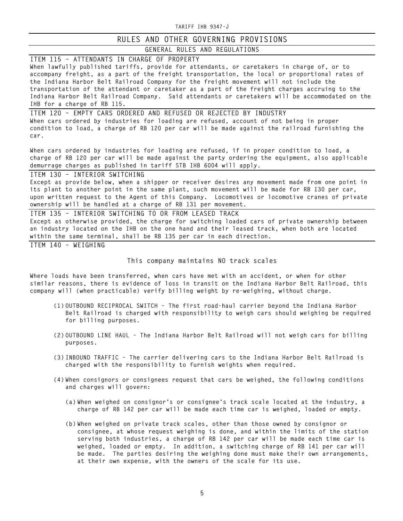## **RULES AND OTHER GOVERNING PROVISIONS**

### **GENERAL RULES AND REGULATIONS**

**ITEM 115 – ATTENDANTS IN CHARGE OF PROPERTY When lawfully published tariffs, provide for attendants, or caretakers in charge of, or to accompany freight, as a part of the freight transportation, the local or proportional rates of the Indiana Harbor Belt Railroad Company for the freight movement will not include the transportation of the attendant or caretaker as a part of the freight charges accruing to the Indiana Harbor Belt Railroad Company. Said attendants or caretakers will be accommodated on the IHB for a charge of RB 115.**

**ITEM 120 – EMPTY CARS ORDERED AND REFUSED OR REJECTED BY INDUSTRY When cars ordered by industries for loading are refused, account of not being in proper condition to load, a charge of RB 120 per car will be made against the railroad furnishing the car.**

**When cars ordered by industries for loading are refused, if in proper condition to load, a charge of RB 120 per car will be made against the party ordering the equipment, also applicable demurrage charges as published in tariff STB IHB 6004 will apply.**

**ITEM 130 – INTERIOR SWITCHING**

**Except as provide below, when a shipper or receiver desires any movement made from one point in its plant to another point in the same plant, such movement will be made for RB 130 per car, upon written request to the Agent of this Company. Locomotives or locomotive cranes of private ownership will be handled at a charge of RB 131 per movement.** 

**ITEM 135 – INTERIOR SWITCHING TO OR FROM LEASED TRACK Except as otherwise provided, the charge for switching loaded cars of private ownership between an industry located on the IHB on the one hand and their leased track, when both are located within the same terminal, shall be RB 135 per car in each direction.**

**ITEM 140 – WEIGHING**

**This company maintains NO track scales**

**Where loads have been transferred, when cars have met with an accident, or when for other similar reasons, there is evidence of loss in transit on the Indiana Harbor Belt Railroad, this company will (when practicable) verify billing weight by re-weighing, without charge.**

- **(1) OUTBOUND RECIPROCAL SWITCH – The first road-haul carrier beyond the Indiana Harbor Belt Railroad is charged with responsibility to weigh cars should weighing be required for billing purposes.**
- **(2) OUTBOUND LINE HAUL – The Indiana Harbor Belt Railroad will not weigh cars for billing purposes.**
- **(3) INBOUND TRAFFIC – The carrier delivering cars to the Indiana Harbor Belt Railroad is charged with the responsibility to furnish weights when required.**
- **(4) When consignors or consignees request that cars be weighed, the following conditions and charges will govern:**
	- **(a) When weighed on consignor's or consignee's track scale located at the industry, a charge of RB 142 per car will be made each time car is weighed, loaded or empty.**
	- **(b) When weighed on private track scales, other than those owned by consignor or consignee, at whose request weighing is done, and within the limits of the station serving both industries, a charge of RB 142 per car will be made each time car is weighed, loaded or empty. In addition, a switching charge of RB 141 per car will be made. The parties desiring the weighing done must make their own arrangements, at their own expense, with the owners of the scale for its use.**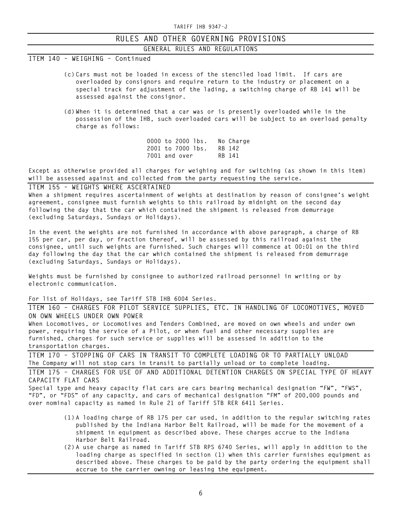#### **RULES AND OTHER GOVERNING PROVISIONS GENERAL RULES AND REGULATIONS**

**ITEM 140 – WEIGHING – Continued**

- **(c) Cars must not be loaded in excess of the stenciled load limit. If cars are overloaded by consignors and require return to the industry or placement on a special track for adjustment of the lading, a switching charge of RB 141 will be assessed against the consignor.**
- **(d) When it is determined that a car was or is presently overloaded while in the possession of the IHB, such overloaded cars will be subject to an overload penalty charge as follows:**

**0000 to 2000 lbs. No Charge 2001 to 7000 lbs. RB 142** 7001 and over

**Except as otherwise provided all charges for weighing and for switching (as shown in this item) will be assessed against and collected from the party requesting the service.**

#### **ITEM 155 – WEIGHTS WHERE ASCERTAINED**

**When a shipment requires ascertainment of weights at destination by reason of consignee's weight agreement, consignee must furnish weights to this railroad by midnight on the second day following the day that the car which contained the shipment is released from demurrage (excluding Saturdays, Sundays or Holidays).**

**In the event the weights are not furnished in accordance with above paragraph, a charge of RB 155 per car, per day, or fraction thereof, will be assessed by this railroad against the consignee, until such weights are furnished. Such charges will commence at 00:01 on the third day following the day that the car which contained the shipment is released from demurrage (excluding Saturdays, Sundays or Holidays).**

**Weights must be furnished by consignee to authorized railroad personnel in writing or by electronic communication.**

#### **For list of Holidays, see Tariff STB IHB 6004 Series.**

**ITEM 160 – CHARGES FOR PILOT SERVICE SUPPLIES, ETC. IN HANDLING OF LOCOMOTIVES, MOVED ON OWN WHEELS UNDER OWN POWER**

**When Locomotives, or Locomotives and Tenders Combined, are moved on own wheels and under own power, requiring the service of a Pilot, or when fuel and other necessary supplies are furnished, charges for such service or supplies will be assessed in addition to the transportation charges.**

**ITEM 170 – STOPPING OF CARS IN TRANSIT TO COMPLETE LOADING OR TO PARTIALLY UNLOAD The Company will not stop cars in transit to partially unload or to complete loading.**

**ITEM 175 – CHARGES FOR USE OF AND ADDITIONAL DETENTION CHARGES ON SPECIAL TYPE OF HEAVY CAPACITY FLAT CARS**

**Special type and heavy capacity flat cars are cars bearing mechanical designation "FW", "FWS", "FD", or "FDS" of any capacity, and cars of mechanical designation "FM" of 200,000 pounds and over nominal capacity as named in Rule 21 of Tariff STB RER 6411 Series.**

- **(1) A loading charge of RB 175 per car used, in addition to the regular switching rates published by the Indiana Harbor Belt Railroad, will be made for the movement of a shipment in equipment as described above. These charges accrue to the Indiana Harbor Belt Railroad.**
- **(2) A use charge as named in Tariff STB RPS 6740 Series, will apply in addition to the loading charge as specified in section (1) when this carrier furnishes equipment as described above. These charges to be paid by the party ordering the equipment shall accrue to the carrier owning or leasing the equipment.**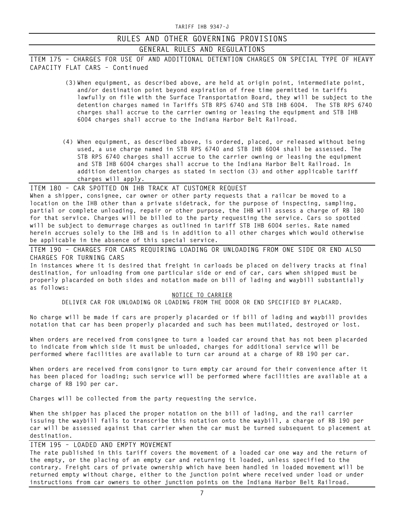## **GENERAL RULES AND REGULATIONS**

**ITEM 175 – CHARGES FOR USE OF AND ADDITIONAL DETENTION CHARGES ON SPECIAL TYPE OF HEAVY CAPACITY FLAT CARS – Continued**

- **(3) When equipment, as described above, are held at origin point, intermediate point, and/or destination point beyond expiration of free time permitted in tariffs lawfully on file with the Surface Transportation Board, they will be subject to the detention charges named in Tariffs STB RPS 6740 and STB IHB 6004. The STB RPS 6740 charges shall accrue to the carrier owning or leasing the equipment and STB IHB 6004 charges shall accrue to the Indiana Harbor Belt Railroad.**
- **(4) When equipment, as described above, is ordered, placed, or released without being used, a use charge named in STB RPS 6740 and STB IHB 6004 shall be assessed. The STB RPS 6740 charges shall accrue to the carrier owning or leasing the equipment and STB IHB 6004 charges shall accrue to the Indiana Harbor Belt Railroad. In addition detention charges as stated in section (3) and other applicable tariff charges will apply.**

**ITEM 180 – CAR SPOTTED ON IHB TRACK AT CUSTOMER REQUEST When a shipper, consignee, car owner or other party requests that a railcar be moved to a location on the IHB other than a private sidetrack, for the purpose of inspecting, sampling, partial or complete unloading, repair or other purpose, the IHB will assess a charge of RB 180 for that service. Charges will be billed to the party requesting the service. Cars so spotted will be subject to demurrage charges as outlined in tariff STB IHB 6004 series. Rate named herein accrues solely to the IHB and is in addition to all other charges which would otherwise be applicable in the absence of this special service.** 

**ITEM 190 – CHARGES FOR CARS REQUIRING LOADING OR UNLOADING FROM ONE SIDE OR END ALSO CHARGES FOR TURNING CARS**

**In instances where it is desired that freight in carloads be placed on delivery tracks at final destination, for unloading from one particular side or end of car, cars when shipped must be properly placarded on both sides and notation made on bill of lading and waybill substantially as follows:**

#### **NOTICE TO CARRIER**

**DELIVER CAR FOR UNLOADING OR LOADING FROM THE DOOR OR END SPECIFIED BY PLACARD.**

**No charge will be made if cars are properly placarded or if bill of lading and waybill provides notation that car has been properly placarded and such has been mutilated, destroyed or lost.**

**When orders are received from consignee to turn a loaded car around that has not been placarded to indicate from which side it must be unloaded, charges for additional service will be performed where facilities are available to turn car around at a charge of RB 190 per car.**

**When orders are received from consignor to turn empty car around for their convenience after it has been placed for loading; such service will be performed where facilities are available at a charge of RB 190 per car.**

**Charges will be collected from the party requesting the service.**

**When the shipper has placed the proper notation on the bill of lading, and the rail carrier issuing the waybill fails to transcribe this notation onto the waybill, a charge of RB 190 per car will be assessed against that carrier when the car must be turned subsequent to placement at destination.**

#### **ITEM 195 – LOADED AND EMPTY MOVEMENT**

**The rate published in this tariff covers the movement of a loaded car one way and the return of the empty, or the placing of an empty car and returning it loaded, unless specified to the contrary. Freight cars of private ownership which have been handled in loaded movement will be returned empty without charge, either to the junction point where received under load or under instructions from car owners to other junction points on the Indiana Harbor Belt Railroad.**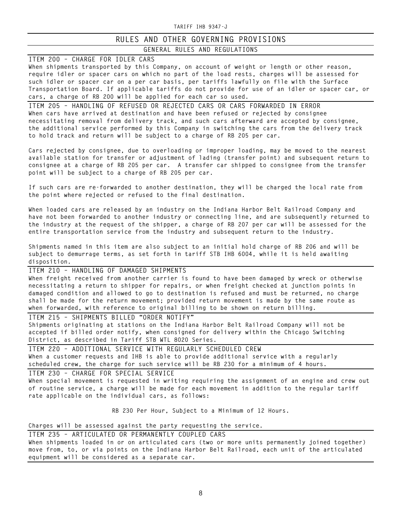## **RULES AND OTHER GOVERNING PROVISIONS**

### **GENERAL RULES AND REGULATIONS**

**ITEM 200 – CHARGE FOR IDLER CARS** 

**When shipments transported by this Company, on account of weight or length or other reason, require idler or spacer cars on which no part of the load rests, charges will be assessed for such idler or spacer car on a per car basis, per tariffs lawfully on file with the Surface Transportation Board. If applicable tariffs do not provide for use of an idler or spacer car, or cars, a charge of RB 200 will be applied for each car so used.**

**ITEM 205 – HANDLING OF REFUSED OR REJECTED CARS OR CARS FORWARDED IN ERROR When cars have arrived at destination and have been refused or rejected by consignee necessitating removal from delivery track, and such cars afterward are accepted by consignee, the additional service performed by this Company in switching the cars from the delivery track to hold track and return will be subject to a charge of RB 205 per car.**

**Cars rejected by consignee, due to overloading or improper loading, may be moved to the nearest available station for transfer or adjustment of lading (transfer point) and subsequent return to consignee at a charge of RB 205 per car. A transfer car shipped to consignee from the transfer point will be subject to a charge of RB 205 per car.**

**If such cars are re-forwarded to another destination, they will be charged the local rate from the point where rejected or refused to the final destination.**

**When loaded cars are released by an industry on the Indiana Harbor Belt Railroad Company and have not been forwarded to another industry or connecting line, and are subsequently returned to the industry at the request of the shipper, a charge of RB 207 per car will be assessed for the entire transportation service from the industry and subsequent return to the industry.**

**Shipments named in this item are also subject to an initial hold charge of RB 206 and will be subject to demurrage terms, as set forth in tariff STB IHB 6004, while it is held awaiting disposition.**

**ITEM 210 – HANDLING OF DAMAGED SHIPMENTS**

**When freight received from another carrier is found to have been damaged by wreck or otherwise necessitating a return to shipper for repairs, or when freight checked at junction points in damaged condition and allowed to go to destination is refused and must be returned, no charge shall be made for the return movement; provided return movement is made by the same route as when forwarded, with reference to original billing to be shown on return billing.**

**ITEM 215 – SHIPMENTS BILLED "ORDER NOTIFY" Shipments originating at stations on the Indiana Harbor Belt Railroad Company will not be accepted if billed order notify, when consigned for delivery within the Chicago Switching District, as described in Tariff STB WTL 8020 Series.**

**ITEM 220 – ADDITIONAL SERVICE WITH REGULARLY SCHEDULED CREW When a customer requests and IHB is able to provide additional service with a regularly scheduled crew, the charge for such service will be RB 230 for a minimum of 4 hours.**

**ITEM 230 – CHARGE FOR SPECIAL SERVICE When special movement is requested in writing requiring the assignment of an engine and crew out of routine service, a charge will be made for each movement in addition to the regular tariff rate applicable on the individual cars, as follows:**

**RB 230 Per Hour, Subject to a Minimum of 12 Hours.**

**Charges will be assessed against the party requesting the service.**

**ITEM 235 – ARTICULATED OR PERMANENTLY COUPLED CARS When shipments loaded in or on articulated cars (two or more units permanently joined together) move from, to, or via points on the Indiana Harbor Belt Railroad, each unit of the articulated equipment will be considered as a separate car.**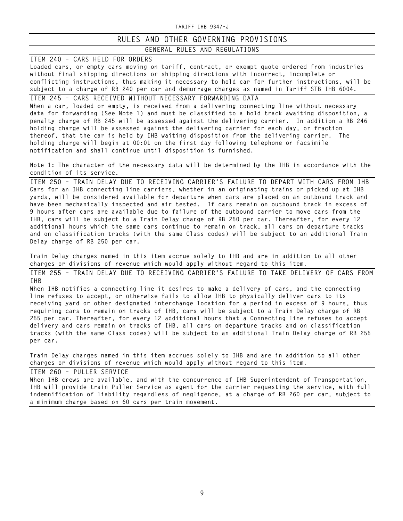#### **RULES AND OTHER GOVERNING PROVISIONS GENERAL RULES AND REGULATIONS**

**ITEM 240 – CARS HELD FOR ORDERS**

**Loaded cars, or empty cars moving on tariff, contract, or exempt quote ordered from industries without final shipping directions or shipping directions with incorrect, incomplete or conflicting instructions, thus making it necessary to hold car for further instructions, will be subject to a charge of RB 240 per car and demurrage charges as named in Tariff STB IHB 6004.**

**ITEM 245 – CARS RECEIVED WITHOUT NECESSARY FORWARDING DATA When a car, loaded or empty, is received from a delivering connecting line without necessary data for forwarding (See Note 1) and must be classified to a hold track awaiting disposition, a penalty charge of RB 245 will be assessed against the delivering carrier. In addition a RB 246 holding charge will be assessed against the delivering carrier for each day, or fraction thereof, that the car is held by IHB waiting disposition from the delivering carrier. The holding charge will begin at 00:01 on the first day following telephone or facsimile notification and shall continue until disposition is furnished.**

**Note 1: The character of the necessary data will be determined by the IHB in accordance with the condition of its service.**

**ITEM 250 – TRAIN DELAY DUE TO RECEIVING CARRIER'S FAILURE TO DEPART WITH CARS FROM IHB Cars for an IHB connecting line carriers, whether in an originating trains or picked up at IHB yards, will be considered available for departure when cars are placed on an outbound track and have been mechanically inspected and air tested. If cars remain on outbound track in excess of 9 hours after cars are available due to failure of the outbound carrier to move cars from the IHB, cars will be subject to a Train Delay charge of RB 250 per car. Thereafter, for every 12 additional hours which the same cars continue to remain on track, all cars on departure tracks and on classification tracks (with the same Class codes) will be subject to an additional Train Delay charge of RB 250 per car.**

**Train Delay charges named in this item accrue solely to IHB and are in addition to all other charges or divisions of revenue which would apply without regard to this item.**

**ITEM 255 – TRAIN DELAY DUE TO RECEIVING CARRIER'S FAILURE TO TAKE DELIVERY OF CARS FROM IHB**

**When IHB notifies a connecting line it desires to make a delivery of cars, and the connecting line refuses to accept, or otherwise fails to allow IHB to physically deliver cars to its receiving yard or other designated interchange location for a period in excess of 9 hours, thus requiring cars to remain on tracks of IHB, cars will be subject to a Train Delay charge of RB 255 per car. Thereafter, for every 12 additional hours that a Connecting line refuses to accept delivery and cars remain on tracks of IHB, all cars on departure tracks and on classification tracks (with the same Class codes) will be subject to an additional Train Delay charge of RB 255 per car.**

**Train Delay charges named in this item accrues solely to IHB and are in addition to all other charges or divisions of revenue which would apply without regard to this item.**

**ITEM 260 – PULLER SERVICE**

**When IHB crews are available, and with the concurrence of IHB Superintendent of Transportation, IHB will provide train Puller Service as agent for the carrier requesting the service, with full indemnification of liability regardless of negligence, at a charge of RB 260 per car, subject to a minimum charge based on 60 cars per train movement.**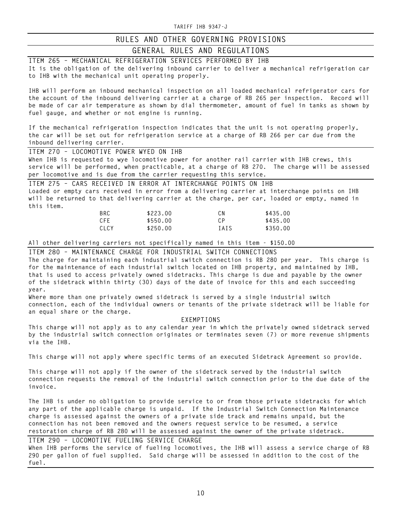### **GENERAL RULES AND REGULATIONS**

**ITEM 265 – MECHANICAL REFRIGERATION SERVICES PERFORMED BY IHB It is the obligation of the delivering inbound carrier to deliver a mechanical refrigeration car to IHB with the mechanical unit operating properly. IHB will perform an inbound mechanical inspection on all loaded mechanical refrigerator cars for the account of the inbound delivering carrier at a charge of RB 265 per inspection. Record will be made of car air temperature as shown by dial thermometer, amount of fuel in tanks as shown by fuel gauge, and whether or not engine is running. If the mechanical refrigeration inspection indicates that the unit is not operating properly, the car will be set out for refrigeration service at a charge of RB 266 per car due from the inbound delivering carrier. ITEM 270 – LOCOMOTIVE POWER WYED ON IHB When IHB is requested to wye locomotive power for another rail carrier with IHB crews, this service will be performed, when practicable, at a charge of RB 270. The charge will be assessed per locomotive and is due from the carrier requesting this service. ITEM 275 – CARS RECEIVED IN ERROR AT INTERCHANGE POINTS ON IHB Loaded or empty cars received in error from a delivering carrier at interchange points on IHB will be returned to that delivering carrier at the charge, per car, loaded or empty, named in this item. BRC \$223.00 CN \$435.00 CFE \$550.00 CP \$435.00 CLCY \$250.00 IAIS \$350.00 All other delivering carriers not specifically named in this item - \$150.00 ITEM 280 – MAINTENANCE CHARGE FOR INDUSTRIAL SWITCH CONNECTIONS The charge for maintaining each industrial switch connection is RB 280 per year. This charge is for the maintenance of each industrial switch located on IHB property, and maintained by IHB, that is used to access privately owned sidetracks. This charge is due and payable by the owner of the sidetrack within thirty (30) days of the date of invoice for this and each succeeding year. Where more than one privately owned sidetrack is served by a single industrial switch connection, each of the individual owners or tenants of the private sidetrack will be liable for an equal share or the charge. EXEMPTIONS This charge will not apply as to any calendar year in which the privately owned sidetrack served by the industrial switch connection originates or terminates seven (7) or more revenue shipments via the IHB.**

**This charge will not apply where specific terms of an executed Sidetrack Agreement so provide.**

**This charge will not apply if the owner of the sidetrack served by the industrial switch connection requests the removal of the industrial switch connection prior to the due date of the invoice.**

**The IHB is under no obligation to provide service to or from those private sidetracks for which any part of the applicable charge is unpaid. If the Industrial Switch Connection Maintenance charge is assessed against the owners of a private side track and remains unpaid, but the connection has not been removed and the owners request service to be resumed, a service restoration charge of RB 280 will be assessed against the owner of the private sidetrack.**

**ITEM 290 – LOCOMOTIVE FUELING SERVICE CHARGE When IHB performs the service of fueling locomotives, the IHB will assess a service charge of RB 290 per gallon of fuel supplied. Said charge will be assessed in addition to the cost of the fuel.**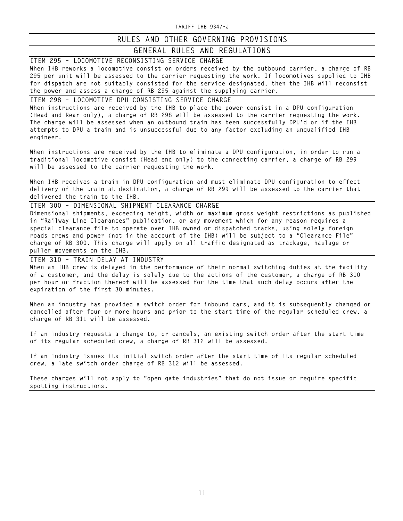### **RULES AND OTHER GOVERNING PROVISIONS**

#### **GENERAL RULES AND REGULATIONS**

**ITEM 295 – LOCOMOTIVE RECONSISTING SERVICE CHARGE When IHB reworks a locomotive consist on orders received by the outbound carrier, a charge of RB 295 per unit will be assessed to the carrier requesting the work. If locomotives supplied to IHB for dispatch are not suitably consisted for the service designated, then the IHB will reconsist the power and assess a charge of RB 295 against the supplying carrier.**

**ITEM 298 – LOCOMOTIVE DPU CONSISTING SERVICE CHARGE When instructions are received by the IHB to place the power consist in a DPU configuration (Head and Rear only), a charge of RB 298 will be assessed to the carrier requesting the work. The charge will be assessed when an outbound train has been successfully DPU'd or if the IHB attempts to DPU a train and is unsuccessful due to any factor excluding an unqualified IHB engineer.**

**When instructions are received by the IHB to eliminate a DPU configuration, in order to run a traditional locomotive consist (Head end only) to the connecting carrier, a charge of RB 299 will be assessed to the carrier requesting the work.**

**When IHB receives a train in DPU configuration and must eliminate DPU configuration to effect delivery of the train at destination, a charge of RB 299 will be assessed to the carrier that delivered the train to the IHB.**

**ITEM 300 – DIMENSIONAL SHIPMENT CLEARANCE CHARGE Dimensional shipments, exceeding height, width or maximum gross weight restrictions as published in "Railway Line Clearances" publication, or any movement which for any reason requires a special clearance file to operate over IHB owned or dispatched tracks, using solely foreign roads crews and power (not in the account of the IHB) will be subject to a "Clearance File" charge of RB 300. This charge will apply on all traffic designated as trackage, haulage or puller movements on the IHB.**

**ITEM 310 – TRAIN DELAY AT INDUSTRY**

**When an IHB crew is delayed in the performance of their normal switching duties at the facility of a customer, and the delay is solely due to the actions of the customer, a charge of RB 310 per hour or fraction thereof will be assessed for the time that such delay occurs after the expiration of the first 30 minutes.**

**When an industry has provided a switch order for inbound cars, and it is subsequently changed or cancelled after four or more hours and prior to the start time of the regular scheduled crew, a charge of RB 311 will be assessed.**

**If an industry requests a change to, or cancels, an existing switch order after the start time of its regular scheduled crew, a charge of RB 312 will be assessed.**

**If an industry issues its initial switch order after the start time of its regular scheduled crew, a late switch order charge of RB 312 will be assessed.**

**These charges will not apply to "open gate industries" that do not issue or require specific spotting instructions.**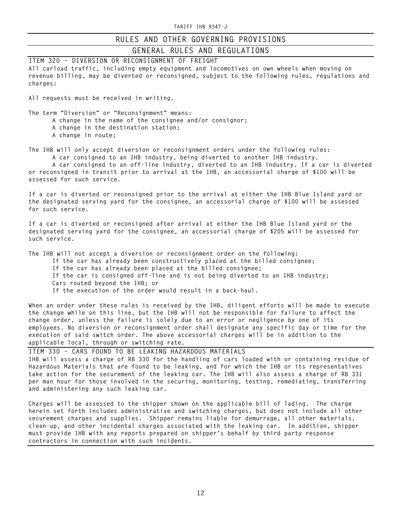### **GENERAL RULES AND REGULATIONS**

**ITEM 320 – DIVERSION OR RECONSIGNMENT OF FREIGHT All carload traffic, including empty equipment and locomotives on own wheels when moving on revenue billing, may be diverted or reconsigned, subject to the following rules, regulations and charges:**

**All requests must be received in writing.**

**The term "Diversion" or "Reconsignment" means:**

- **A change in the name of the consignee and/or consignor;**
- **A change in the destination station;**
- **A change in route;**

**The IHB will only accept diversion or reconsignment orders under the following rules: A car consigned to an IHB industry, being diverted to another IHB industry.**

**A car consigned to an off-line industry, diverted to an IHB industry. If a car is diverted or reconsigned in transit prior to arrival at the IHB, an accessorial charge of \$100 will be assessed for such service.**

**If a car is diverted or reconsigned prior to the arrival at either the IHB Blue Island yard or the designated serving yard for the consignee, an accessorial charge of \$100 will be assessed for such service.**

**If a car is diverted or reconsigned after arrival at either the IHB Blue Island yard or the designated serving yard for the consignee, an accessorial charge of \$205 will be assessed for such service.**

**The IHB will not accept a diversion or reconsignment order on the following:**

**If the car has already been constructively placed at the billed consignee;**

**If the car has already been placed at the billed consignee;**

- **If the car is consigned off-line and is not being diverted to an IHB industry;**
- **Cars routed beyond the IHB; or**
- **If the execution of the order would result in a back-haul.**

**When an order under these rules is received by the IHB, diligent efforts will be made to execute the change while on this line, but the IHB will not be responsible for failure to affect the change order, unless the failure is solely due to an error or negligence by one of its employees. No diversion or reconsignment order shall designate any specific day or time for the execution of said switch order. The above accessorial charges will be in addition to the applicable local, through or switching rate.**

**ITEM 330 – CARS FOUND TO BE LEAKING HAZARDOUS MATERIALS IHB will assess a charge of RB 330 for the handling of cars loaded with or containing residue of Hazardous Materials that are found to be leaking, and for which the IHB or its representatives take action for the securement of the leaking car. The IHB will also assess a charge of RB 331 per man hour for those involved in the securing, monitoring, testing, remediating, transferring and administering any such leaking car.** 

**Charges will be assessed to the shipper shown on the applicable bill of lading. The charge herein set forth includes administrative and switching charges, but does not include all other securement charges and supplies. Shipper remains liable for demurrage, all other materials, clean-up, and other incidental charges associated with the leaking car. In addition, shipper must provide IHB with any reports prepared on shipper's behalf by third party response contractors in connection with such incidents.**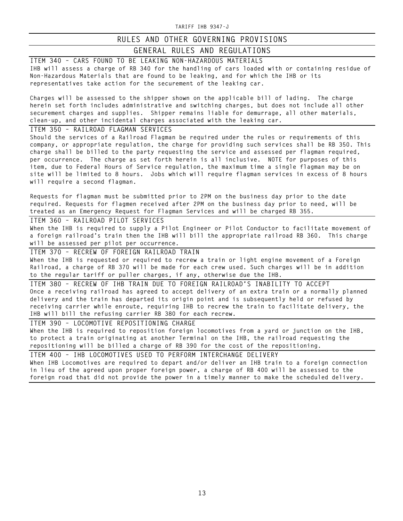### **RULES AND OTHER GOVERNING PROVISIONS**

### **GENERAL RULES AND REGULATIONS**

**ITEM 340 – CARS FOUND TO BE LEAKING NON-HAZARDOUS MATERIALS IHB will assess a charge of RB 340 for the handling of cars loaded with or containing residue of Non-Hazardous Materials that are found to be leaking, and for which the IHB or its representatives take action for the securement of the leaking car.**

**Charges will be assessed to the shipper shown on the applicable bill of lading. The charge herein set forth includes administrative and switching charges, but does not include all other securement charges and supplies. Shipper remains liable for demurrage, all other materials, clean-up, and other incidental charges associated with the leaking car.** 

**ITEM 350 – RAILROAD FLAGMAN SERVICES**

**Should the services of a Railroad Flagman be required under the rules or requirements of this company, or appropriate regulation, the charge for providing such services shall be RB 350. This charge shall be billed to the party requesting the service and assessed per flagman required, per occurrence. The charge as set forth herein is all inclusive. NOTE for purposes of this item, due to Federal Hours of Service regulation, the maximum time a single flagman may be on site will be limited to 8 hours. Jobs which will require flagman services in excess of 8 hours will require a second flagman.**

**Requests for flagman must be submitted prior to 2PM on the business day prior to the date required. Requests for flagmen received after 2PM on the business day prior to need, will be treated as an Emergency Request for Flagman Services and will be charged RB 355.**

**ITEM 360 – RAILROAD PILOT SERVICES**

**When the IHB is required to supply a Pilot Engineer or Pilot Conductor to facilitate movement of a foreign railroad's train then the IHB will bill the appropriate railroad RB 360. This charge will be assessed per pilot per occurrence.**

**ITEM 370 – RECREW OF FOREIGN RAILROAD TRAIN When the IHB is requested or required to recrew a train or light engine movement of a Foreign Railroad, a charge of RB 370 will be made for each crew used. Such charges will be in addition to the regular tariff or puller charges, if any, otherwise due the IHB.**

**ITEM 380 – RECREW OF IHB TRAIN DUE TO FOREIGN RAILROAD'S INABILITY TO ACCEPT Once a receiving railroad has agreed to accept delivery of an extra train or a normally planned delivery and the train has departed its origin point and is subsequently held or refused by receiving carrier while enroute, requiring IHB to recrew the train to facilitate delivery, the IHB will bill the refusing carrier RB 380 for each recrew.**

**ITEM 390 – LOCOMOTIVE REPOSITIONING CHARGE**

**When the IHB is required to reposition foreign locomotives from a yard or junction on the IHB, to protect a train originating at another Terminal on the IHB, the railroad requesting the repositioning will be billed a charge of RB 390 for the cost of the repositioning.**

**ITEM 400 – IHB LOCOMOTIVES USED TO PERFORM INTERCHANGE DELIVERY When IHB Locomotives are required to depart and/or deliver an IHB train to a foreign connection in lieu of the agreed upon proper foreign power, a charge of RB 400 will be assessed to the foreign road that did not provide the power in a timely manner to make the scheduled delivery.**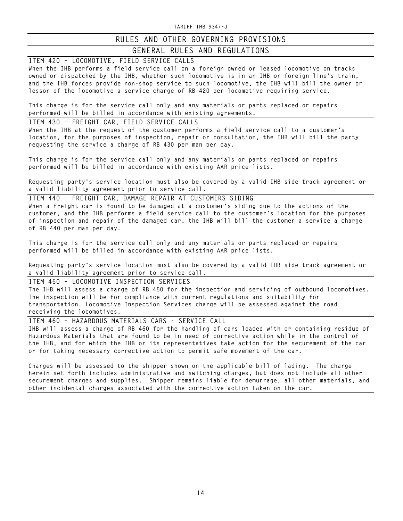## **RULES AND OTHER GOVERNING PROVISIONS**

### **GENERAL RULES AND REGULATIONS**

**ITEM 420 – LOCOMOTIVE, FIELD SERVICE CALLS When the IHB performs a field service call on a foreign owned or leased locomotive on tracks owned or dispatched by the IHB, whether such locomotive is in an IHB or foreign line's train, and the IHB forces provide non-shop service to such locomotive, the IHB will bill the owner or lessor of the locomotive a service charge of RB 420 per locomotive requiring service.** 

**This charge is for the service call only and any materials or parts replaced or repairs performed will be billed in accordance with existing agreements.**

**ITEM 430 – FREIGHT CAR, FIELD SERVICE CALLS**

**When the IHB at the request of the customer performs a field service call to a customer's location, for the purposes of inspection, repair or consultation, the IHB will bill the party requesting the service a charge of RB 430 per man per day.** 

**This charge is for the service call only and any materials or parts replaced or repairs performed will be billed in accordance with existing AAR price lists.** 

**Requesting party's service location must also be covered by a valid IHB side track agreement or a valid liability agreement prior to service call.**

**ITEM 440 – FREIGHT CAR, DAMAGE REPAIR AT CUSTOMERS SIDING When a freight car is found to be damaged at a customer's siding due to the actions of the customer, and the IHB performs a field service call to the customer's location for the purposes of inspection and repair of the damaged car, the IHB will bill the customer a service a charge of RB 440 per man per day.** 

**This charge is for the service call only and any materials or parts replaced or repairs performed will be billed in accordance with existing AAR price lists.**

**Requesting party's service location must also be covered by a valid IHB side track agreement or a valid liability agreement prior to service call.**

**ITEM 450 – LOCOMOTIVE INSPECTION SERVICES The IHB will assess a charge of RB 450 for the inspection and servicing of outbound locomotives. The inspection will be for compliance with current regulations and suitability for transportation. Locomotive Inspection Services charge will be assessed against the road receiving the locomotives.** 

**ITEM 460 – HAZARDOUS MATERIALS CARS - SERVICE CALL IHB will assess a charge of RB 460 for the handling of cars loaded with or containing residue of Hazardous Materials that are found to be in need of corrective action while in the control of the IHB, and for which the IHB or its representatives take action for the securement of the car or for taking necessary corrective action to permit safe movement of the car.**

**Charges will be assessed to the shipper shown on the applicable bill of lading. The charge herein set forth includes administrative and switching charges, but does not include all other securement charges and supplies. Shipper remains liable for demurrage, all other materials, and other incidental charges associated with the corrective action taken on the car.**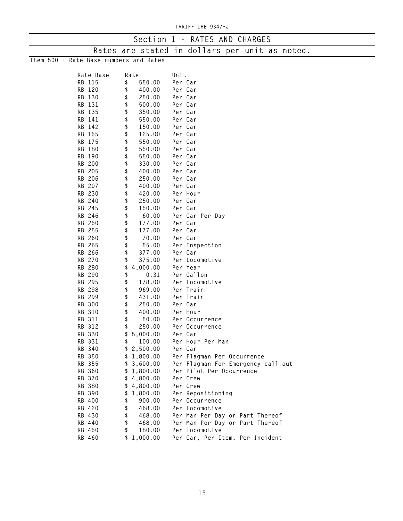| Section 1 - RATES AND CHARGES          |      |            |         |                                                |  |  |  |  |  |  |  |  |  |
|----------------------------------------|------|------------|---------|------------------------------------------------|--|--|--|--|--|--|--|--|--|
|                                        |      |            |         | Rates are stated in dollars per unit as noted. |  |  |  |  |  |  |  |  |  |
| Item 500 - Rate Base numbers and Rates |      |            |         |                                                |  |  |  |  |  |  |  |  |  |
|                                        |      |            |         |                                                |  |  |  |  |  |  |  |  |  |
| Rate Base                              | Rate |            | Unit    |                                                |  |  |  |  |  |  |  |  |  |
| RB 115                                 | \$   | 550.00     | Per Car |                                                |  |  |  |  |  |  |  |  |  |
| RB 120                                 | \$   | 400.00     | Per Car |                                                |  |  |  |  |  |  |  |  |  |
| RB 130                                 | \$   | 250.00     | Per Car |                                                |  |  |  |  |  |  |  |  |  |
| RB 131                                 | \$   | 500.00     | Per Car |                                                |  |  |  |  |  |  |  |  |  |
| RB 135                                 | \$   | 350.00     | Per Car |                                                |  |  |  |  |  |  |  |  |  |
| RB 141                                 | \$   | 550.00     |         | Per Car                                        |  |  |  |  |  |  |  |  |  |
| RB 142                                 | \$   | 150.00     | Per Car |                                                |  |  |  |  |  |  |  |  |  |
| RB 155                                 | \$   | 125.00     |         | Per Car                                        |  |  |  |  |  |  |  |  |  |
| RB 175                                 | \$   | 550.00     |         | Per Car                                        |  |  |  |  |  |  |  |  |  |
| RB 180                                 | \$   | 550.00     | Per Car |                                                |  |  |  |  |  |  |  |  |  |
| RB 190                                 | \$   | 550.00     | Per Car |                                                |  |  |  |  |  |  |  |  |  |
| RB 200                                 | \$   | 330.00     | Per Car |                                                |  |  |  |  |  |  |  |  |  |
| RB 205                                 | \$   | 400.00     | Per Car |                                                |  |  |  |  |  |  |  |  |  |
| RB 206                                 | \$   | 250.00     |         | Per Car                                        |  |  |  |  |  |  |  |  |  |
| RB 207                                 | \$   | 400.00     |         | Per Car                                        |  |  |  |  |  |  |  |  |  |
| RB 230                                 | \$   | 420.00     |         | Per Hour                                       |  |  |  |  |  |  |  |  |  |
| RB 240                                 | \$   | 250.00     | Per Car |                                                |  |  |  |  |  |  |  |  |  |
| RB 245                                 | \$   | 150.00     | Per Car |                                                |  |  |  |  |  |  |  |  |  |
| RB 246                                 | \$   | 60.00      |         | Per Car Per Day                                |  |  |  |  |  |  |  |  |  |
| RB 250                                 | \$   | 177.00     | Per Car |                                                |  |  |  |  |  |  |  |  |  |
| RB 255                                 | \$   | 177.00     |         | Per Car                                        |  |  |  |  |  |  |  |  |  |
| RB 260                                 | \$   | 70.00      |         | Per Car                                        |  |  |  |  |  |  |  |  |  |
| RB 265                                 | \$   | 55.00      |         | Per Inspection                                 |  |  |  |  |  |  |  |  |  |
| RB 266                                 | \$   | 377.00     |         | Per Car                                        |  |  |  |  |  |  |  |  |  |
| RB 270                                 | \$   | 375.00     |         | Per Locomotive                                 |  |  |  |  |  |  |  |  |  |
| RB 280                                 | \$   | 4,000.00   |         | Per Year                                       |  |  |  |  |  |  |  |  |  |
| RB 290                                 | \$   | 0.31       |         | Per Gallon                                     |  |  |  |  |  |  |  |  |  |
| RB 295                                 | \$   | 178.00     |         | Per Locomotive                                 |  |  |  |  |  |  |  |  |  |
| RB 298                                 | \$   | 969.00     |         | Per Train                                      |  |  |  |  |  |  |  |  |  |
| RB 299                                 | \$   | 431.00     |         | Per Train                                      |  |  |  |  |  |  |  |  |  |
| RB 300                                 | \$   | 250.00     |         | Per Car                                        |  |  |  |  |  |  |  |  |  |
| RB 310                                 | \$   | 400.00     |         | Per Hour                                       |  |  |  |  |  |  |  |  |  |
| RB 311                                 | \$   | 50.00      |         | Per Occurrence                                 |  |  |  |  |  |  |  |  |  |
| RB 312                                 | \$   | 250.00     |         | Per Occurrence                                 |  |  |  |  |  |  |  |  |  |
| RB 330                                 |      | \$5,000.00 | Per Car |                                                |  |  |  |  |  |  |  |  |  |
| RB 331                                 | \$   | 100.00     |         | Per Hour Per Man                               |  |  |  |  |  |  |  |  |  |
| RB 340                                 |      | \$2,500.00 |         | Per Car                                        |  |  |  |  |  |  |  |  |  |
| RB 350                                 |      | \$1,800.00 |         | Per Flagman Per Occurrence                     |  |  |  |  |  |  |  |  |  |
| RB 355                                 |      | \$3,600.00 |         | Per Flagman For Emergency call out             |  |  |  |  |  |  |  |  |  |
| RB 360                                 |      | \$1,800.00 |         | Per Pilot Per Occurrence                       |  |  |  |  |  |  |  |  |  |
| RB 370                                 |      | \$4,800.00 |         | Per Crew                                       |  |  |  |  |  |  |  |  |  |
| RB 380                                 |      | \$4,800.00 |         | Per Crew                                       |  |  |  |  |  |  |  |  |  |
| RB 390                                 |      | \$1,800.00 |         | Per Repositioning                              |  |  |  |  |  |  |  |  |  |
| RB 400                                 | \$   | 900.00     |         | Per Occurrence                                 |  |  |  |  |  |  |  |  |  |
| RB 420                                 | \$   | 468.00     |         | Per Locomotive                                 |  |  |  |  |  |  |  |  |  |
| RB 430                                 | \$   | 468.00     |         | Per Man Per Day or Part Thereof                |  |  |  |  |  |  |  |  |  |
| RB 440                                 | \$   | 468.00     |         | Per Man Per Day or Part Thereof                |  |  |  |  |  |  |  |  |  |
| RB 450                                 | \$   | 180.00     |         | Per locomotive                                 |  |  |  |  |  |  |  |  |  |
| RB 460                                 |      | \$1,000.00 |         | Per Car, Per Item, Per Incident                |  |  |  |  |  |  |  |  |  |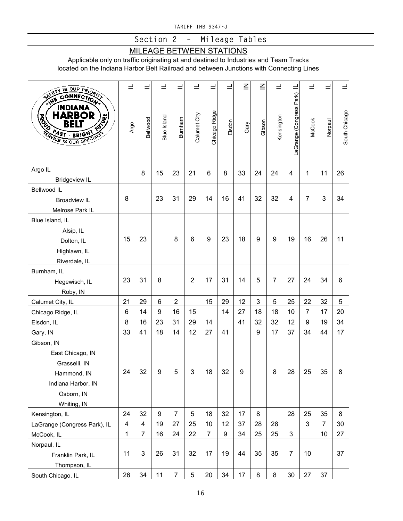**Section 2 – Mileage Tables**

## MILEAGE BETWEEN STATIONS

Applicable only on traffic originating at and destined to Industries and Team Tracks located on the Indiana Harbor Belt Railroad and between Junctions with Connecting Lines

| IS OUR PRIOR                                                                                                                                                          | $\equiv$                | ᆜ                       | ᆜ                | پ              | ᆜ              | ᆜ              | ᆜ      | $\overline{z}$ | $\overline{z}$ | $\equiv$       | $\equiv$                 | ᆜ              | ᆜ              | ᆜ             |
|-----------------------------------------------------------------------------------------------------------------------------------------------------------------------|-------------------------|-------------------------|------------------|----------------|----------------|----------------|--------|----------------|----------------|----------------|--------------------------|----------------|----------------|---------------|
| <b>SAFETY</b><br>CONNECTION<br><b>AHIS</b><br><b>INDIANA</b><br><b>HARBOR</b><br><b>HOLLAND</b><br><b>ROAD</b><br>BELI<br>AST BRIGHT<br><b>SERVICE IS OUR SPECIAL</b> | Argo                    | Bellwood                | Blue Island      | Burnham        | Calumet City   | Chicago Ridge  | Elsdon | Gary           | Gibson         | Kensington     | LaGrange (Congress Park) | <b>McCook</b>  | Norpaul        | South Chicago |
| Argo IL<br><b>Bridgeview IL</b>                                                                                                                                       |                         | 8                       | 15               | 23             | 21             | 6              | 8      | 33             | 24             | 24             | 4                        | 1              | 11             | 26            |
| Bellwood IL<br><b>Broadview IL</b><br>Melrose Park IL                                                                                                                 | 8                       |                         | 23               | 31             | 29             | 14             | 16     | 41             | 32             | 32             | 4                        | $\overline{7}$ | 3              | 34            |
| Blue Island, IL<br>Alsip, IL<br>Dolton, IL<br>Highlawn, IL<br>Riverdale, IL                                                                                           | 15                      | 23                      |                  | 8              | 6              | 9              | 23     | 18             | 9              | 9              | 19                       | 16             | 26             | 11            |
| Burnham, IL<br>Hegewisch, IL<br>Roby, IN                                                                                                                              | 23                      | 31                      | 8                |                | $\overline{2}$ | 17             | 31     | 14             | 5              | $\overline{7}$ | 27                       | 24             | 34             | 6             |
| Calumet City, IL                                                                                                                                                      | 21                      | 29                      | 6                | $\overline{2}$ |                | 15             | 29     | 12             | 3              | 5              | 25                       | 22             | 32             | 5             |
| Chicago Ridge, IL                                                                                                                                                     | 6                       | 14                      | $\boldsymbol{9}$ | 16             | 15             |                | 14     | 27             | 18             | 18             | 10                       | $\overline{7}$ | 17             | 20            |
| Elsdon, IL                                                                                                                                                            | 8                       | 16                      | 23               | 31             | 29             | 14             |        | 41             | 32             | 32             | 12                       | 9              | 19             | 34            |
| Gary, IN                                                                                                                                                              | 33                      | 41                      | 18               | 14             | 12             | 27             | 41     |                | 9              | 17             | 37                       | 34             | 44             | 17            |
| Gibson, IN<br>East Chicago, IN<br>Grasselli, IN<br>Hammond, IN<br>Indiana Harbor, IN<br>Osborn, IN<br>Whiting, IN                                                     | 24                      | 32                      | 9                | 5              | 3              | 18             | 32     | 9              |                | 8              | 28                       | 25             | 35             | 8             |
| Kensington, IL                                                                                                                                                        | 24                      | 32                      | $\boldsymbol{9}$ | $\overline{7}$ | 5              | 18             | 32     | 17             | 8              |                | 28                       | 25             | 35             | 8             |
| LaGrange (Congress Park), IL                                                                                                                                          | $\overline{\mathbf{4}}$ | $\overline{\mathbf{4}}$ | 19               | 27             | 25             | 10             | 12     | 37             | 28             | 28             |                          | 3              | $\overline{7}$ | 30            |
| McCook, IL                                                                                                                                                            | $\mathbf{1}$            | $\overline{7}$          | 16               | 24             | 22             | $\overline{7}$ | 9      | 34             | 25             | 25             | $\mathfrak{S}$           |                | 10             | 27            |
| Norpaul, IL<br>Franklin Park, IL<br>Thompson, IL                                                                                                                      | 11                      | 3                       | 26               | 31             | 32             | 17             | 19     | 44             | 35             | 35             | $\overline{7}$           | 10             |                | 37            |
| South Chicago, IL                                                                                                                                                     | 26                      | 34                      | 11               | $\overline{7}$ | 5              | 20             | 34     | 17             | 8              | 8              | 30                       | 27             | 37             |               |